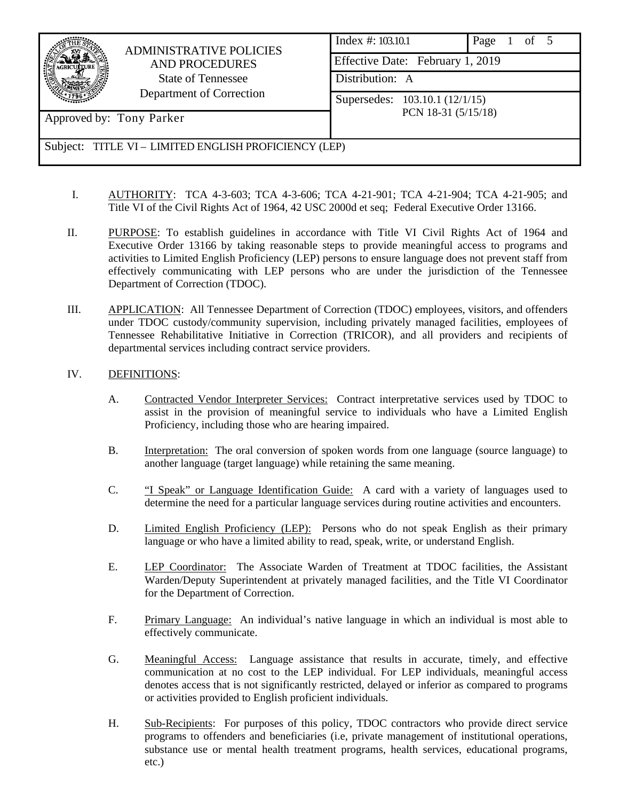

- I. AUTHORITY: TCA 4-3-603; TCA 4-3-606; TCA 4-21-901; TCA 4-21-904; TCA 4-21-905; and Title VI of the Civil Rights Act of 1964, 42 USC 2000d et seq; Federal Executive Order 13166.
- II. PURPOSE: To establish guidelines in accordance with Title VI Civil Rights Act of 1964 and Executive Order 13166 by taking reasonable steps to provide meaningful access to programs and activities to Limited English Proficiency (LEP) persons to ensure language does not prevent staff from effectively communicating with LEP persons who are under the jurisdiction of the Tennessee Department of Correction (TDOC).
- III. APPLICATION: All Tennessee Department of Correction (TDOC) employees, visitors, and offenders under TDOC custody/community supervision, including privately managed facilities, employees of Tennessee Rehabilitative Initiative in Correction (TRICOR), and all providers and recipients of departmental services including contract service providers.
- IV. DEFINITIONS:
	- A. Contracted Vendor Interpreter Services: Contract interpretative services used by TDOC to assist in the provision of meaningful service to individuals who have a Limited English Proficiency, including those who are hearing impaired.
	- B. Interpretation: The oral conversion of spoken words from one language (source language) to another language (target language) while retaining the same meaning.
	- C. "I Speak" or Language Identification Guide: A card with a variety of languages used to determine the need for a particular language services during routine activities and encounters.
	- D. Limited English Proficiency (LEP): Persons who do not speak English as their primary language or who have a limited ability to read, speak, write, or understand English.
	- E. LEP Coordinator: The Associate Warden of Treatment at TDOC facilities, the Assistant Warden/Deputy Superintendent at privately managed facilities, and the Title VI Coordinator for the Department of Correction.
	- F. Primary Language: An individual's native language in which an individual is most able to effectively communicate.
	- G. Meaningful Access: Language assistance that results in accurate, timely, and effective communication at no cost to the LEP individual. For LEP individuals, meaningful access denotes access that is not significantly restricted, delayed or inferior as compared to programs or activities provided to English proficient individuals.
	- H. Sub-Recipients: For purposes of this policy, TDOC contractors who provide direct service programs to offenders and beneficiaries (i.e, private management of institutional operations, substance use or mental health treatment programs, health services, educational programs, etc.)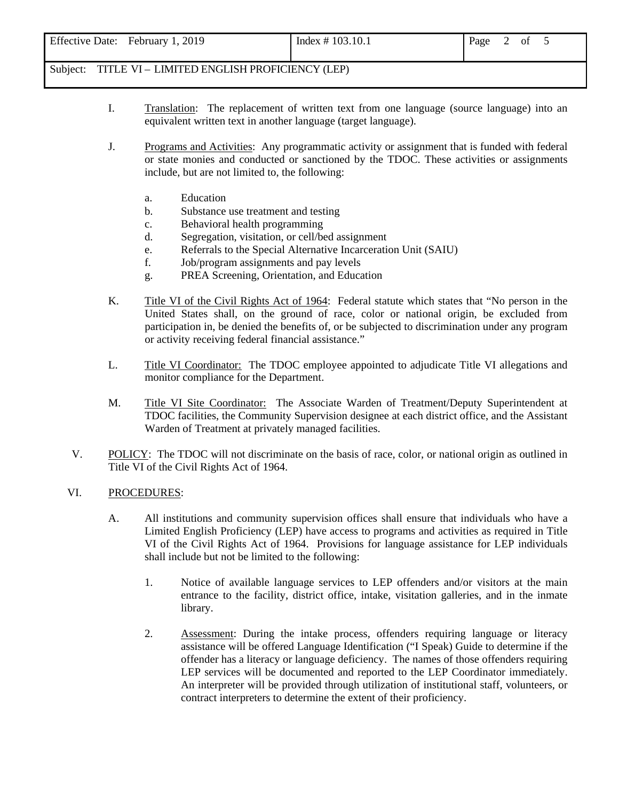| <b>Effective Date:</b><br>2019<br>February | Index $\# 103.10.1$ | Page |  |  |  |  |
|--------------------------------------------|---------------------|------|--|--|--|--|
|--------------------------------------------|---------------------|------|--|--|--|--|

- I. Translation: The replacement of written text from one language (source language) into an equivalent written text in another language (target language).
- J. Programs and Activities: Any programmatic activity or assignment that is funded with federal or state monies and conducted or sanctioned by the TDOC. These activities or assignments include, but are not limited to, the following:
	- a. Education
	- b. Substance use treatment and testing
	- c. Behavioral health programming
	- d. Segregation, visitation, or cell/bed assignment
	- e. Referrals to the Special Alternative Incarceration Unit (SAIU)
	- f. Job/program assignments and pay levels
	- g. PREA Screening, Orientation, and Education
- K. Title VI of the Civil Rights Act of 1964: Federal statute which states that "No person in the United States shall, on the ground of race, color or national origin, be excluded from participation in, be denied the benefits of, or be subjected to discrimination under any program or activity receiving federal financial assistance."
- L. Title VI Coordinator: The TDOC employee appointed to adjudicate Title VI allegations and monitor compliance for the Department.
- M. Title VI Site Coordinator: The Associate Warden of Treatment/Deputy Superintendent at TDOC facilities, the Community Supervision designee at each district office, and the Assistant Warden of Treatment at privately managed facilities.
- V. POLICY: The TDOC will not discriminate on the basis of race, color, or national origin as outlined in Title VI of the Civil Rights Act of 1964.

#### VI. PROCEDURES:

- A. All institutions and community supervision offices shall ensure that individuals who have a Limited English Proficiency (LEP) have access to programs and activities as required in Title VI of the Civil Rights Act of 1964. Provisions for language assistance for LEP individuals shall include but not be limited to the following:
	- 1. Notice of available language services to LEP offenders and/or visitors at the main entrance to the facility, district office, intake, visitation galleries, and in the inmate library.
	- 2. Assessment: During the intake process, offenders requiring language or literacy assistance will be offered Language Identification ("I Speak) Guide to determine if the offender has a literacy or language deficiency. The names of those offenders requiring LEP services will be documented and reported to the LEP Coordinator immediately. An interpreter will be provided through utilization of institutional staff, volunteers, or contract interpreters to determine the extent of their proficiency.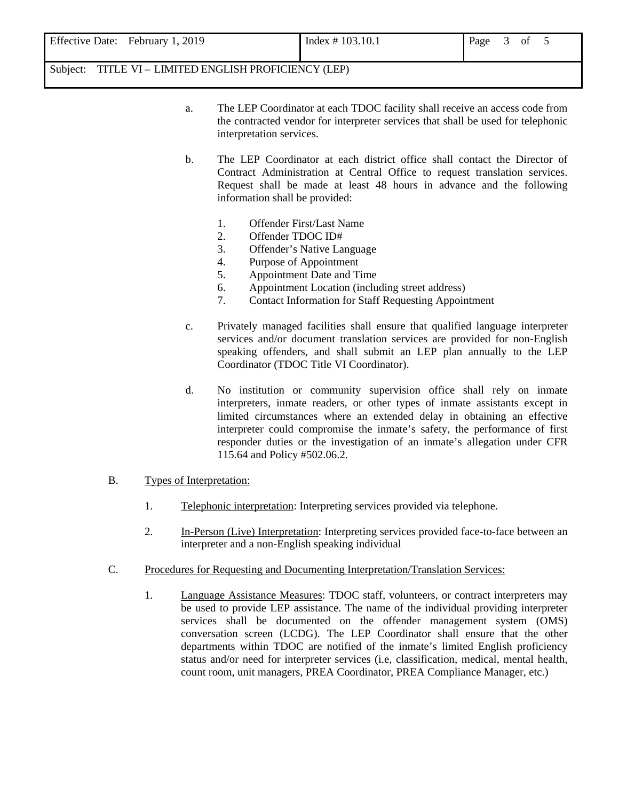| Effective Date: February 1, 2019 | Index $\# 103.10.1$ | Page<br>of |
|----------------------------------|---------------------|------------|
|                                  |                     |            |

- a. The LEP Coordinator at each TDOC facility shall receive an access code from the contracted vendor for interpreter services that shall be used for telephonic interpretation services.
- b. The LEP Coordinator at each district office shall contact the Director of Contract Administration at Central Office to request translation services. Request shall be made at least 48 hours in advance and the following information shall be provided:
	- 1. Offender First/Last Name
	- 2. Offender TDOC ID#
	- 3. Offender's Native Language
	- 4. Purpose of Appointment
	- 5. Appointment Date and Time
	- 6. Appointment Location (including street address)
	- 7. Contact Information for Staff Requesting Appointment
- c. Privately managed facilities shall ensure that qualified language interpreter services and/or document translation services are provided for non-English speaking offenders, and shall submit an LEP plan annually to the LEP Coordinator (TDOC Title VI Coordinator).
- d. No institution or community supervision office shall rely on inmate interpreters, inmate readers, or other types of inmate assistants except in limited circumstances where an extended delay in obtaining an effective interpreter could compromise the inmate's safety, the performance of first responder duties or the investigation of an inmate's allegation under CFR 115.64 and Policy #502.06.2.
- B. Types of Interpretation:
	- 1. Telephonic interpretation: Interpreting services provided via telephone.
	- 2. In-Person (Live) Interpretation: Interpreting services provided face-to-face between an interpreter and a non-English speaking individual
- C. Procedures for Requesting and Documenting Interpretation/Translation Services:
	- 1. Language Assistance Measures: TDOC staff, volunteers, or contract interpreters may be used to provide LEP assistance. The name of the individual providing interpreter services shall be documented on the offender management system (OMS) conversation screen (LCDG). The LEP Coordinator shall ensure that the other departments within TDOC are notified of the inmate's limited English proficiency status and/or need for interpreter services (i.e, classification, medical, mental health, count room, unit managers, PREA Coordinator, PREA Compliance Manager, etc.)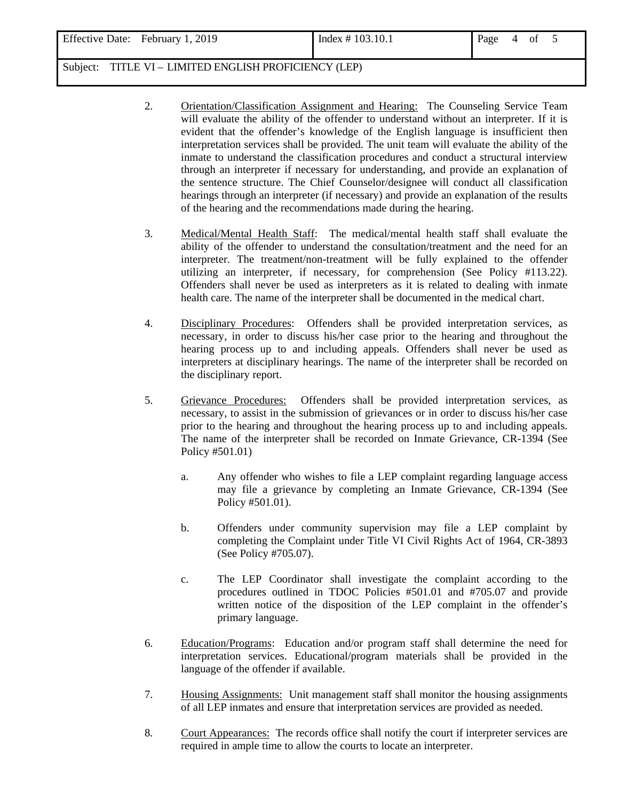| Effective Date: February 1, 2019<br>Index $\# 103.10.1$<br>Page<br>0İ<br>4. |  |
|-----------------------------------------------------------------------------|--|
|-----------------------------------------------------------------------------|--|

- 2. Orientation/Classification Assignment and Hearing: The Counseling Service Team will evaluate the ability of the offender to understand without an interpreter. If it is evident that the offender's knowledge of the English language is insufficient then interpretation services shall be provided. The unit team will evaluate the ability of the inmate to understand the classification procedures and conduct a structural interview through an interpreter if necessary for understanding, and provide an explanation of the sentence structure. The Chief Counselor/designee will conduct all classification hearings through an interpreter (if necessary) and provide an explanation of the results of the hearing and the recommendations made during the hearing.
- 3. Medical/Mental Health Staff: The medical/mental health staff shall evaluate the ability of the offender to understand the consultation/treatment and the need for an interpreter. The treatment/non-treatment will be fully explained to the offender utilizing an interpreter, if necessary, for comprehension (See Policy #113.22). Offenders shall never be used as interpreters as it is related to dealing with inmate health care. The name of the interpreter shall be documented in the medical chart.
- 4. Disciplinary Procedures: Offenders shall be provided interpretation services, as necessary, in order to discuss his/her case prior to the hearing and throughout the hearing process up to and including appeals. Offenders shall never be used as interpreters at disciplinary hearings. The name of the interpreter shall be recorded on the disciplinary report.
- 5. Grievance Procedures: Offenders shall be provided interpretation services, as necessary, to assist in the submission of grievances or in order to discuss his/her case prior to the hearing and throughout the hearing process up to and including appeals. The name of the interpreter shall be recorded on Inmate Grievance, CR-1394 (See Policy #501.01)
	- a. Any offender who wishes to file a LEP complaint regarding language access may file a grievance by completing an Inmate Grievance, CR-1394 (See Policy #501.01).
	- b. Offenders under community supervision may file a LEP complaint by completing the Complaint under Title VI Civil Rights Act of 1964, CR*-*3893 (See Policy #705.07).
	- c. The LEP Coordinator shall investigate the complaint according to the procedures outlined in TDOC Policies #501.01 and #705.07 and provide written notice of the disposition of the LEP complaint in the offender's primary language.
- 6. Education/Programs: Education and/or program staff shall determine the need for interpretation services. Educational/program materials shall be provided in the language of the offender if available.
- 7. Housing Assignments: Unit management staff shall monitor the housing assignments of all LEP inmates and ensure that interpretation services are provided as needed.
- 8. Court Appearances: The records office shall notify the court if interpreter services are required in ample time to allow the courts to locate an interpreter.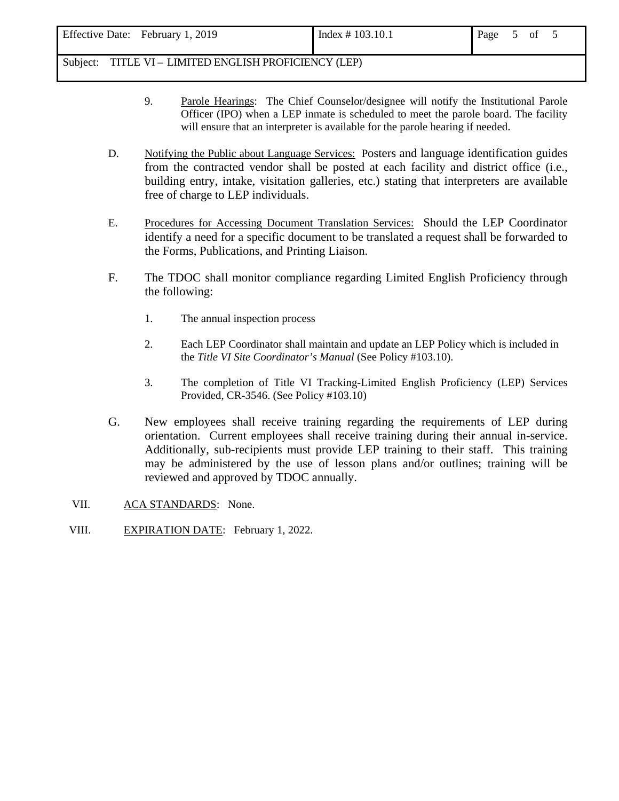- 9. Parole Hearings: The Chief Counselor/designee will notify the Institutional Parole Officer (IPO) when a LEP inmate is scheduled to meet the parole board. The facility will ensure that an interpreter is available for the parole hearing if needed.
- D. Notifying the Public about Language Services: Posters and language identification guides from the contracted vendor shall be posted at each facility and district office (i.e., building entry, intake, visitation galleries, etc.) stating that interpreters are available free of charge to LEP individuals.
- E. Procedures for Accessing Document Translation Services: Should the LEP Coordinator identify a need for a specific document to be translated a request shall be forwarded to the Forms, Publications, and Printing Liaison.
- F. The TDOC shall monitor compliance regarding Limited English Proficiency through the following:
	- 1. The annual inspection process
	- 2. Each LEP Coordinator shall maintain and update an LEP Policy which is included in the *Title VI Site Coordinator's Manual* (See Policy #103.10).
	- 3. The completion of Title VI Tracking-Limited English Proficiency (LEP) Services Provided, CR-3546. (See Policy #103.10)
- G. New employees shall receive training regarding the requirements of LEP during orientation. Current employees shall receive training during their annual in-service. Additionally, sub-recipients must provide LEP training to their staff. This training may be administered by the use of lesson plans and/or outlines; training will be reviewed and approved by TDOC annually.
- VII. ACA STANDARDS: None.
- VIII. EXPIRATION DATE: February 1, 2022.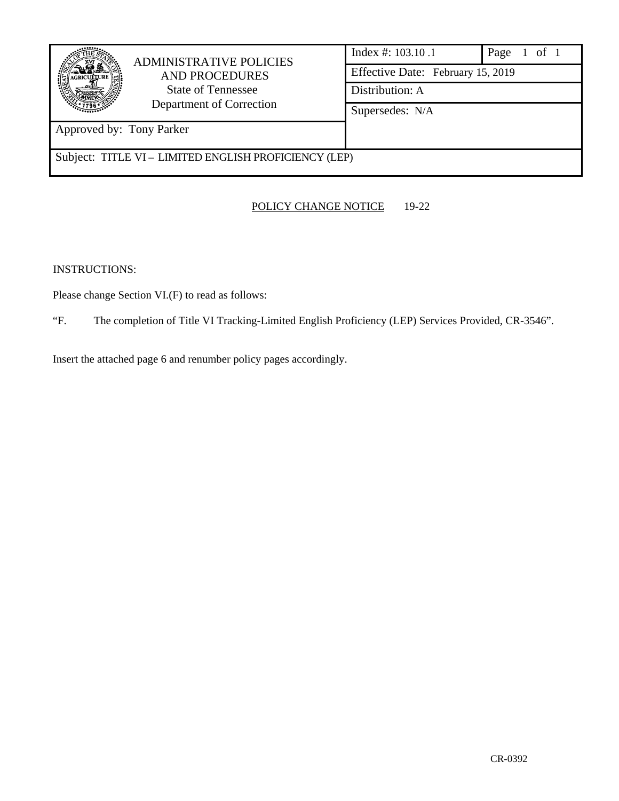| <b>ADMINISTRATIVE POLICIES</b><br><b>AND PROCEDURES</b><br>State of Tennessee<br>Department of Correction<br>Approved by: Tony Parker | Index #: $103.10.1$<br>Effective Date: February 15, 2019<br>Distribution: A<br>Supersedes: N/A | Page $1$ of $1$ |
|---------------------------------------------------------------------------------------------------------------------------------------|------------------------------------------------------------------------------------------------|-----------------|
| Subject: TITLE VI – LIMITED ENGLISH PROFICIENCY (LEP)                                                                                 |                                                                                                |                 |

## POLICY CHANGE NOTICE 19-22

INSTRUCTIONS:

Please change Section VI.(F) to read as follows:

"F. The completion of Title VI Tracking-Limited English Proficiency (LEP) Services Provided, CR-3546".

Insert the attached page 6 and renumber policy pages accordingly.